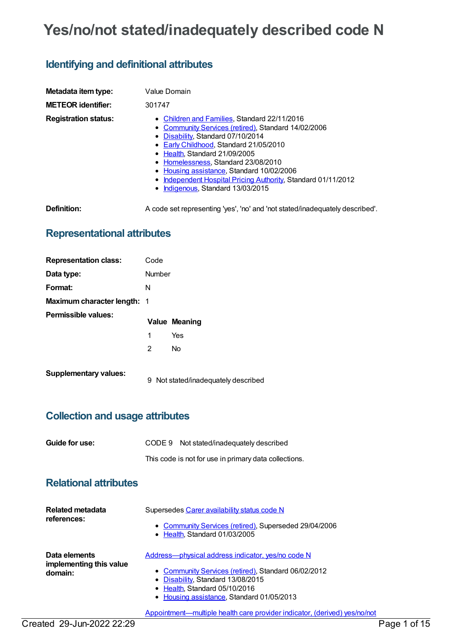# **Yes/no/not stated/inadequately described code N**

## **Identifying and definitional attributes**

| Metadata item type:         | Value Domain                                                                                                                                                                                                                                                                                                                                                                                                  |
|-----------------------------|---------------------------------------------------------------------------------------------------------------------------------------------------------------------------------------------------------------------------------------------------------------------------------------------------------------------------------------------------------------------------------------------------------------|
| <b>METEOR identifier:</b>   | 301747                                                                                                                                                                                                                                                                                                                                                                                                        |
| <b>Registration status:</b> | • Children and Families, Standard 22/11/2016<br>• Community Services (retired), Standard 14/02/2006<br>• Disability, Standard 07/10/2014<br>• Early Childhood, Standard 21/05/2010<br>• Health, Standard 21/09/2005<br>• Homelessness, Standard 23/08/2010<br>• Housing assistance, Standard 10/02/2006<br>• Independent Hospital Pricing Authority, Standard 01/11/2012<br>• Indigenous, Standard 13/03/2015 |
| Definition:                 | A code set representing 'yes', 'no' and 'not stated/inadequately described'.                                                                                                                                                                                                                                                                                                                                  |

### **Representational attributes**

| <b>Representation class:</b>       | Code   |                                   |
|------------------------------------|--------|-----------------------------------|
| Data type:                         | Number |                                   |
| Format:                            | N      |                                   |
| <b>Maximum character length: 1</b> |        |                                   |
| <b>Permissible values:</b>         |        | <b>Value Meaning</b>              |
|                                    | 1      | Yes                               |
|                                    | 2      | <b>No</b>                         |
| <b>Supplementary values:</b>       | 9      | Not stated/inadequately described |

### **Collection and usage attributes**

| Guide for use: | CODE 9 Not stated/inadequately described              |
|----------------|-------------------------------------------------------|
|                | This code is not for use in primary data collections. |

#### **Relational attributes**

| <b>Related metadata</b><br>references:              | Supersedes Carer availability status code N<br>• Community Services (retired), Superseded 29/04/2006<br>• Health, Standard 01/03/2005                                                                                       |
|-----------------------------------------------------|-----------------------------------------------------------------------------------------------------------------------------------------------------------------------------------------------------------------------------|
| Data elements<br>implementing this value<br>domain: | Address-physical address indicator, yes/no code N<br>• Community Services (retired), Standard 06/02/2012<br>• Disability, Standard 13/08/2015<br>• Health, Standard 05/10/2016<br>• Housing assistance, Standard 01/05/2013 |
|                                                     | Appointment—multiple health care provider indicator, (derived) yes/no/not                                                                                                                                                   |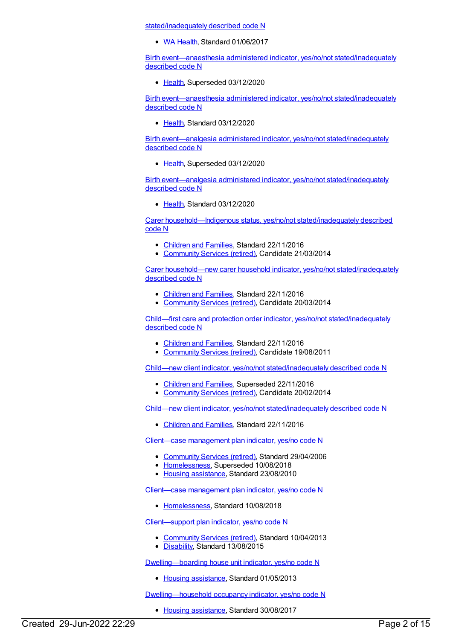stated/inadequately described code N

• WA [Health](https://meteor.aihw.gov.au/RegistrationAuthority/2), Standard 01/06/2017

Birth [event—anaesthesia](https://meteor.aihw.gov.au/content/695188) administered indicator, yes/no/not stated/inadequately described code N

• [Health](https://meteor.aihw.gov.au/RegistrationAuthority/12), Superseded 03/12/2020

Birth [event—anaesthesia](https://meteor.aihw.gov.au/content/732332) administered indicator, yes/no/not stated/inadequately described code N

[Health](https://meteor.aihw.gov.au/RegistrationAuthority/12), Standard 03/12/2020

Birth event—analgesia administered indicator, yes/no/not [stated/inadequately](https://meteor.aihw.gov.au/content/695200) described code N

• [Health](https://meteor.aihw.gov.au/RegistrationAuthority/12), Superseded 03/12/2020

Birth event—analgesia administered indicator, yes/no/not [stated/inadequately](https://meteor.aihw.gov.au/content/732344) described code N

[Health](https://meteor.aihw.gov.au/RegistrationAuthority/12), Standard 03/12/2020

Carer [household—Indigenous](https://meteor.aihw.gov.au/content/531773) status, yes/no/not stated/inadequately described code N

- [Children](https://meteor.aihw.gov.au/RegistrationAuthority/17) and Families, Standard 22/11/2016
- [Community](https://meteor.aihw.gov.au/RegistrationAuthority/1) Services (retired), Candidate 21/03/2014

Carer household—new carer household indicator, yes/no/not [stated/inadequately](https://meteor.aihw.gov.au/content/532827) described code N

- [Children](https://meteor.aihw.gov.au/RegistrationAuthority/17) and Families, Standard 22/11/2016
- [Community](https://meteor.aihw.gov.au/RegistrationAuthority/1) Services (retired), Candidate 20/03/2014

Child—first care and protection order indicator, yes/no/not [stated/inadequately](https://meteor.aihw.gov.au/content/458347) described code N

- [Children](https://meteor.aihw.gov.au/RegistrationAuthority/17) and Families, Standard 22/11/2016
- [Community](https://meteor.aihw.gov.au/RegistrationAuthority/1) Services (retired), Candidate 19/08/2011

Child—new client indicator, yes/no/not [stated/inadequately](https://meteor.aihw.gov.au/content/521821) described code N

- [Children](https://meteor.aihw.gov.au/RegistrationAuthority/17) and Families, Superseded 22/11/2016
- [Community](https://meteor.aihw.gov.au/RegistrationAuthority/1) Services (retired), Candidate 20/02/2014

Child—new client indicator, yes/no/not [stated/inadequately](https://meteor.aihw.gov.au/content/655257) described code N

• [Children](https://meteor.aihw.gov.au/RegistrationAuthority/17) and Families, Standard 22/11/2016

Client—case [management](https://meteor.aihw.gov.au/content/321129) plan indicator, yes/no code N

- [Community](https://meteor.aihw.gov.au/RegistrationAuthority/1) Services (retired), Standard 29/04/2006
- [Homelessness](https://meteor.aihw.gov.au/RegistrationAuthority/14), Superseded 10/08/2018
- Housing [assistance](https://meteor.aihw.gov.au/RegistrationAuthority/11), Standard 23/08/2010

Client—case [management](https://meteor.aihw.gov.au/content/689394) plan indicator, yes/no code N

• [Homelessness](https://meteor.aihw.gov.au/RegistrationAuthority/14), Standard 10/08/2018

[Client—support](https://meteor.aihw.gov.au/content/512981) plan indicator, yes/no code N

- [Community](https://meteor.aihw.gov.au/RegistrationAuthority/1) Services (retired), Standard 10/04/2013
- [Disability](https://meteor.aihw.gov.au/RegistrationAuthority/16), Standard 13/08/2015

[Dwelling—boarding](https://meteor.aihw.gov.au/content/480184) house unit indicator, yes/no code N

• Housing [assistance](https://meteor.aihw.gov.au/RegistrationAuthority/11), Standard 01/05/2013

[Dwelling—household](https://meteor.aihw.gov.au/content/607865) occupancy indicator, yes/no code N

• Housing [assistance](https://meteor.aihw.gov.au/RegistrationAuthority/11), Standard 30/08/2017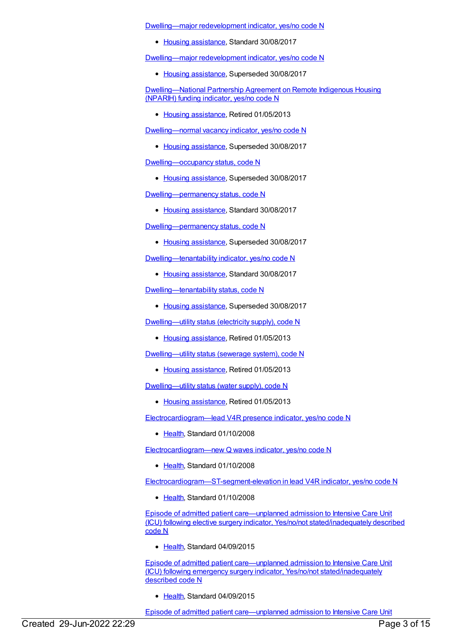[Dwelling—major](https://meteor.aihw.gov.au/content/662994) redevelopment indicator, yes/no code N

• Housing [assistance](https://meteor.aihw.gov.au/RegistrationAuthority/11), Standard 30/08/2017

[Dwelling—major](https://meteor.aihw.gov.au/content/459053) redevelopment indicator, yes/no code N

• Housing [assistance](https://meteor.aihw.gov.au/RegistrationAuthority/11), Superseded 30/08/2017

[Dwelling—National](https://meteor.aihw.gov.au/content/462325) Partnership Agreement on Remote Indigenous Housing (NPARIH) funding indicator, yes/no code N

• Housing [assistance](https://meteor.aihw.gov.au/RegistrationAuthority/11), Retired 01/05/2013

[Dwelling—normal](https://meteor.aihw.gov.au/content/459116) vacancy indicator, yes/no code N

• Housing [assistance](https://meteor.aihw.gov.au/RegistrationAuthority/11), Superseded 30/08/2017

[Dwelling—occupancy](https://meteor.aihw.gov.au/content/302863) status, code N

• Housing [assistance](https://meteor.aihw.gov.au/RegistrationAuthority/11), Superseded 30/08/2017

[Dwelling—permanency](https://meteor.aihw.gov.au/content/662982) status, code N

• Housing [assistance](https://meteor.aihw.gov.au/RegistrationAuthority/11), Standard 30/08/2017

[Dwelling—permanency](https://meteor.aihw.gov.au/content/292337) status, code N

• Housing [assistance](https://meteor.aihw.gov.au/RegistrationAuthority/11), Superseded 30/08/2017

[Dwelling—tenantability](https://meteor.aihw.gov.au/content/663114) indicator, yes/no code N

• Housing [assistance](https://meteor.aihw.gov.au/RegistrationAuthority/11), Standard 30/08/2017

[Dwelling—tenantability](https://meteor.aihw.gov.au/content/302930) status, code N

• Housing [assistance](https://meteor.aihw.gov.au/RegistrationAuthority/11), Superseded 30/08/2017

[Dwelling—utility](https://meteor.aihw.gov.au/content/292964) status (electricity supply), code N

• Housing [assistance](https://meteor.aihw.gov.au/RegistrationAuthority/11), Retired 01/05/2013

[Dwelling—utility](https://meteor.aihw.gov.au/content/295000) status (sewerage system), code N

• Housing [assistance](https://meteor.aihw.gov.au/RegistrationAuthority/11), Retired 01/05/2013

[Dwelling—utility](https://meteor.aihw.gov.au/content/295002) status (water supply), code N

• Housing [assistance](https://meteor.aihw.gov.au/RegistrationAuthority/11), Retired 01/05/2013

[Electrocardiogram—lead](https://meteor.aihw.gov.au/content/349656) V4R presence indicator, yes/no code N

• [Health](https://meteor.aihw.gov.au/RegistrationAuthority/12), Standard 01/10/2008

[Electrocardiogram—new](https://meteor.aihw.gov.au/content/343902) Q waves indicator, yes/no code N

• [Health](https://meteor.aihw.gov.au/RegistrationAuthority/12), Standard 01/10/2008

[Electrocardiogram—ST-segment-elevation](https://meteor.aihw.gov.au/content/343889) in lead V4R indicator, yes/no code N

• [Health](https://meteor.aihw.gov.au/RegistrationAuthority/12), Standard 01/10/2008

Episode of admitted patient care—unplanned admission to Intensive Care Unit (ICU) following elective surgery indicator, Yes/no/not [stated/inadequately](https://meteor.aihw.gov.au/content/591990) described code N

• [Health](https://meteor.aihw.gov.au/RegistrationAuthority/12), Standard 04/09/2015

Episode of admitted patient care—unplanned admission to Intensive Care Unit (ICU) following emergency surgery indicator, Yes/no/not [stated/inadequately](https://meteor.aihw.gov.au/content/592033) described code N

• [Health](https://meteor.aihw.gov.au/RegistrationAuthority/12), Standard 04/09/2015

Episode of admitted patient care—unplanned admission to Intensive Care Unit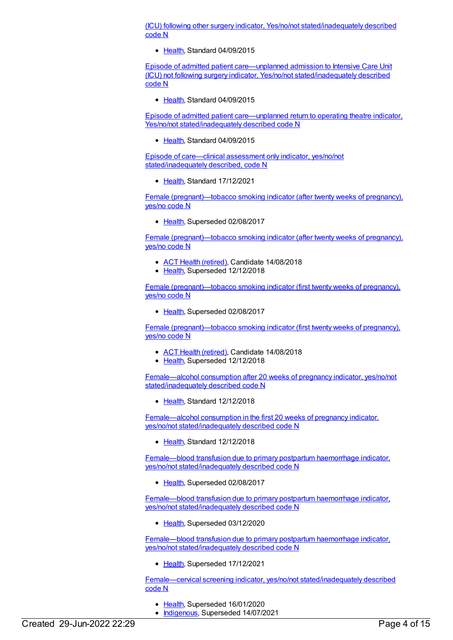(ICU) following other surgery indicator, Yes/no/not [stated/inadequately](https://meteor.aihw.gov.au/content/608995) described code N

• [Health](https://meteor.aihw.gov.au/RegistrationAuthority/12), Standard 04/09/2015

Episode of admitted patient care—unplanned admission to Intensive Care Unit (ICU) not following surgery indicator, Yes/no/not [stated/inadequately](https://meteor.aihw.gov.au/content/592562) described code N

• [Health](https://meteor.aihw.gov.au/RegistrationAuthority/12), Standard 04/09/2015

Episode of admitted patient [care—unplanned](https://meteor.aihw.gov.au/content/578317) return to operating theatre indicator, Yes/no/not stated/inadequately described code N

[Health](https://meteor.aihw.gov.au/RegistrationAuthority/12), Standard 04/09/2015

Episode of care—clinical assessment only indicator, yes/no/not [stated/inadequately](https://meteor.aihw.gov.au/content/745689) described, code N

• [Health](https://meteor.aihw.gov.au/RegistrationAuthority/12), Standard 17/12/2021

Female [\(pregnant\)—tobacco](https://meteor.aihw.gov.au/content/365417) smoking indicator (after twenty weeks of pregnancy), yes/no code N

• [Health](https://meteor.aihw.gov.au/RegistrationAuthority/12), Superseded 02/08/2017

Female [\(pregnant\)—tobacco](https://meteor.aihw.gov.au/content/673229) smoking indicator (after twenty weeks of pregnancy), yes/no code N

- ACT Health [\(retired\)](https://meteor.aihw.gov.au/RegistrationAuthority/9), Candidate 14/08/2018
- [Health](https://meteor.aihw.gov.au/RegistrationAuthority/12), Superseded 12/12/2018

Female [\(pregnant\)—tobacco](https://meteor.aihw.gov.au/content/365404) smoking indicator (first twenty weeks of pregnancy), yes/no code N

• [Health](https://meteor.aihw.gov.au/RegistrationAuthority/12), Superseded 02/08/2017

Female [\(pregnant\)—tobacco](https://meteor.aihw.gov.au/content/673237) smoking indicator (first twenty weeks of pregnancy), yes/no code N

- ACT Health [\(retired\)](https://meteor.aihw.gov.au/RegistrationAuthority/9), Candidate 14/08/2018
- [Health](https://meteor.aihw.gov.au/RegistrationAuthority/12), Superseded 12/12/2018

Female—alcohol consumption after 20 weeks of pregnancy indicator, yes/no/not [stated/inadequately](https://meteor.aihw.gov.au/content/690739) described code N

• [Health](https://meteor.aihw.gov.au/RegistrationAuthority/12), Standard 12/12/2018

Female—alcohol consumption in the first 20 weeks of pregnancy indicator, yes/no/not [stated/inadequately](https://meteor.aihw.gov.au/content/690482) described code N

• [Health](https://meteor.aihw.gov.au/RegistrationAuthority/12), Standard 12/12/2018

Female—blood transfusion due to primary postpartum haemorrhage indicator, yes/no/not [stated/inadequately](https://meteor.aihw.gov.au/content/522211) described code N

• [Health](https://meteor.aihw.gov.au/RegistrationAuthority/12), Superseded 02/08/2017

Female—blood transfusion due to primary postpartum haemorrhage indicator, yes/no/not [stated/inadequately](https://meteor.aihw.gov.au/content/673477) described code N

• [Health](https://meteor.aihw.gov.au/RegistrationAuthority/12), Superseded 03/12/2020

Female—blood transfusion due to primary postpartum haemorrhage indicator, yes/no/not [stated/inadequately](https://meteor.aihw.gov.au/content/733476) described code N

• [Health](https://meteor.aihw.gov.au/RegistrationAuthority/12), Superseded 17/12/2021

Female—cervical screening indicator, yes/no/not [stated/inadequately](https://meteor.aihw.gov.au/content/686938) described code N

- [Health](https://meteor.aihw.gov.au/RegistrationAuthority/12), Superseded 16/01/2020
- [Indigenous](https://meteor.aihw.gov.au/RegistrationAuthority/6), Superseded 14/07/2021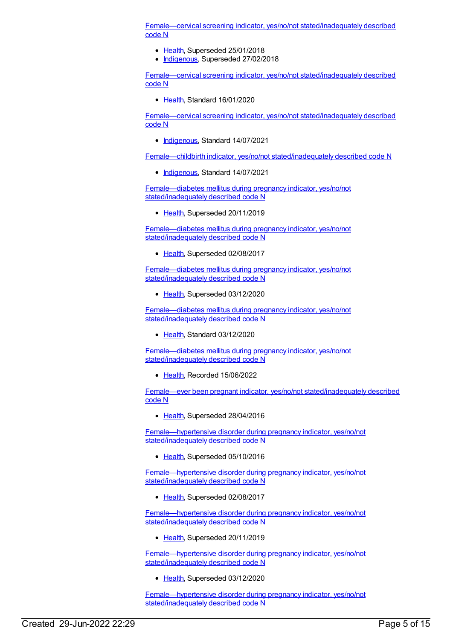Female—cervical screening indicator, yes/no/not [stated/inadequately](https://meteor.aihw.gov.au/content/358921) described code N

- [Health](https://meteor.aihw.gov.au/RegistrationAuthority/12), Superseded 25/01/2018
- [Indigenous](https://meteor.aihw.gov.au/RegistrationAuthority/6), Superseded 27/02/2018

Female—cervical screening indicator, yes/no/not [stated/inadequately](https://meteor.aihw.gov.au/content/719551) described code N

• [Health](https://meteor.aihw.gov.au/RegistrationAuthority/12), Standard 16/01/2020

Female—cervical screening indicator, yes/no/not [stated/inadequately](https://meteor.aihw.gov.au/content/731925) described code N

• [Indigenous](https://meteor.aihw.gov.au/RegistrationAuthority/6), Standard 14/07/2021

Female—childbirth indicator, yes/no/not [stated/inadequately](https://meteor.aihw.gov.au/content/739132) described code N

• [Indigenous](https://meteor.aihw.gov.au/RegistrationAuthority/6), Standard 14/07/2021

[Female—diabetes](https://meteor.aihw.gov.au/content/673501) mellitus during pregnancy indicator, yes/no/not stated/inadequately described code N

[Health](https://meteor.aihw.gov.au/RegistrationAuthority/12), Superseded 20/11/2019

[Female—diabetes](https://meteor.aihw.gov.au/content/504291) mellitus during pregnancy indicator, yes/no/not stated/inadequately described code N

• [Health](https://meteor.aihw.gov.au/RegistrationAuthority/12), Superseded 02/08/2017

[Female—diabetes](https://meteor.aihw.gov.au/content/716227) mellitus during pregnancy indicator, yes/no/not stated/inadequately described code N

• [Health](https://meteor.aihw.gov.au/RegistrationAuthority/12), Superseded 03/12/2020

[Female—diabetes](https://meteor.aihw.gov.au/content/732748) mellitus during pregnancy indicator, yes/no/not stated/inadequately described code N

• [Health](https://meteor.aihw.gov.au/RegistrationAuthority/12), Standard 03/12/2020

[Female—diabetes](https://meteor.aihw.gov.au/content/759635) mellitus during pregnancy indicator, yes/no/not stated/inadequately described code N

• [Health](https://meteor.aihw.gov.au/RegistrationAuthority/12), Recorded 15/06/2022

Female—ever been pregnant indicator, yes/no/not [stated/inadequately](https://meteor.aihw.gov.au/content/399559) described code N

• [Health](https://meteor.aihw.gov.au/RegistrationAuthority/12), Superseded 28/04/2016

[Female—hypertensive](https://meteor.aihw.gov.au/content/516807) disorder during pregnancy indicator, yes/no/not stated/inadequately described code N

• [Health](https://meteor.aihw.gov.au/RegistrationAuthority/12), Superseded 05/10/2016

[Female—hypertensive](https://meteor.aihw.gov.au/content/655530) disorder during pregnancy indicator, yes/no/not stated/inadequately described code N

• [Health](https://meteor.aihw.gov.au/RegistrationAuthority/12), Superseded 02/08/2017

[Female—hypertensive](https://meteor.aihw.gov.au/content/673583) disorder during pregnancy indicator, yes/no/not stated/inadequately described code N

• [Health](https://meteor.aihw.gov.au/RegistrationAuthority/12), Superseded 20/11/2019

[Female—hypertensive](https://meteor.aihw.gov.au/content/719256) disorder during pregnancy indicator, yes/no/not stated/inadequately described code N

• [Health](https://meteor.aihw.gov.au/RegistrationAuthority/12), Superseded 03/12/2020

[Female—hypertensive](https://meteor.aihw.gov.au/content/732753) disorder during pregnancy indicator, yes/no/not stated/inadequately described code N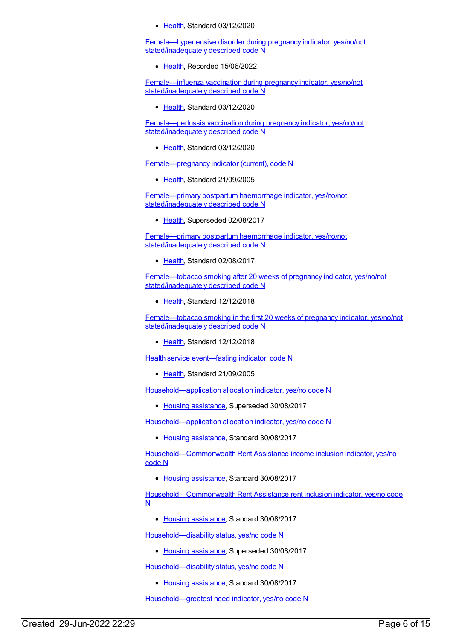[Health](https://meteor.aihw.gov.au/RegistrationAuthority/12), Standard 03/12/2020

[Female—hypertensive](https://meteor.aihw.gov.au/content/759637) disorder during pregnancy indicator, yes/no/not stated/inadequately described code N

• [Health](https://meteor.aihw.gov.au/RegistrationAuthority/12), Recorded 15/06/2022

[Female—influenza](https://meteor.aihw.gov.au/content/721270) vaccination during pregnancy indicator, yes/no/not stated/inadequately described code N

Ealth, Standard 03/12/2020

[Female—pertussis](https://meteor.aihw.gov.au/content/721261) vaccination during pregnancy indicator, yes/no/not stated/inadequately described code N

• [Health](https://meteor.aihw.gov.au/RegistrationAuthority/12), Standard 03/12/2020

[Female—pregnancy](https://meteor.aihw.gov.au/content/302817) indicator (current), code N

• [Health](https://meteor.aihw.gov.au/RegistrationAuthority/12), Standard 21/09/2005

[Female—primary](https://meteor.aihw.gov.au/content/504959) postpartum haemorrhage indicator, yes/no/not stated/inadequately described code N

• [Health](https://meteor.aihw.gov.au/RegistrationAuthority/12), Superseded 02/08/2017

[Female—primary](https://meteor.aihw.gov.au/content/673595) postpartum haemorrhage indicator, yes/no/not stated/inadequately described code N

[Health](https://meteor.aihw.gov.au/RegistrationAuthority/12), Standard 02/08/2017

[Female—tobacco](https://meteor.aihw.gov.au/content/695447) smoking after 20 weeks of pregnancy indicator, yes/no/not stated/inadequately described code N

• [Health](https://meteor.aihw.gov.au/RegistrationAuthority/12), Standard 12/12/2018

Female—tobacco smoking in the first 20 weeks of pregnancy indicator, yes/no/not [stated/inadequately](https://meteor.aihw.gov.au/content/695487) described code N

• [Health](https://meteor.aihw.gov.au/RegistrationAuthority/12), Standard 12/12/2018

Health service event-fasting indicator, code N

• [Health](https://meteor.aihw.gov.au/RegistrationAuthority/12), Standard 21/09/2005

[Household—application](https://meteor.aihw.gov.au/content/444367) allocation indicator, yes/no code N

• Housing [assistance](https://meteor.aihw.gov.au/RegistrationAuthority/11), Superseded 30/08/2017

[Household—application](https://meteor.aihw.gov.au/content/607904) allocation indicator, yes/no code N

• Housing [assistance](https://meteor.aihw.gov.au/RegistrationAuthority/11), Standard 30/08/2017

[Household—Commonwealth](https://meteor.aihw.gov.au/content/610156) Rent Assistance income inclusion indicator, yes/no code N

• Housing [assistance](https://meteor.aihw.gov.au/RegistrationAuthority/11), Standard 30/08/2017

[Household—Commonwealth](https://meteor.aihw.gov.au/content/610149) Rent Assistance rent inclusion indicator, yes/no code N

• Housing [assistance](https://meteor.aihw.gov.au/RegistrationAuthority/11), Standard 30/08/2017

[Household—disability](https://meteor.aihw.gov.au/content/302949) status, yes/no code N

• Housing [assistance](https://meteor.aihw.gov.au/RegistrationAuthority/11), Superseded 30/08/2017

[Household—disability](https://meteor.aihw.gov.au/content/607876) status, yes/no code N

• Housing [assistance](https://meteor.aihw.gov.au/RegistrationAuthority/11), Standard 30/08/2017

[Household—greatest](https://meteor.aihw.gov.au/content/456559) need indicator, yes/no code N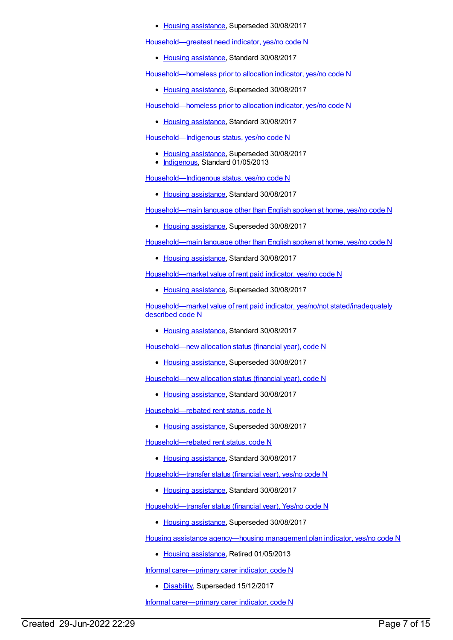#### • Housing [assistance](https://meteor.aihw.gov.au/RegistrationAuthority/11), Superseded 30/08/2017

[Household—greatest](https://meteor.aihw.gov.au/content/608411) need indicator, yes/no code N

• Housing [assistance](https://meteor.aihw.gov.au/RegistrationAuthority/11), Standard 30/08/2017

[Household—homeless](https://meteor.aihw.gov.au/content/462714) prior to allocation indicator, yes/no code N

• Housing [assistance](https://meteor.aihw.gov.au/RegistrationAuthority/11), Superseded 30/08/2017

[Household—homeless](https://meteor.aihw.gov.au/content/608014) prior to allocation indicator, yes/no code N

• Housing [assistance](https://meteor.aihw.gov.au/RegistrationAuthority/11), Standard 30/08/2017

[Household—Indigenous](https://meteor.aihw.gov.au/content/460738) status, yes/no code N

- Housing [assistance](https://meteor.aihw.gov.au/RegistrationAuthority/11), Superseded 30/08/2017
- [Indigenous](https://meteor.aihw.gov.au/RegistrationAuthority/6), Standard 01/05/2013

[Household—Indigenous](https://meteor.aihw.gov.au/content/607888) status, yes/no code N

• Housing [assistance](https://meteor.aihw.gov.au/RegistrationAuthority/11), Standard 30/08/2017

[Household—main](https://meteor.aihw.gov.au/content/444290) language other than English spoken at home, yes/no code N

• Housing [assistance](https://meteor.aihw.gov.au/RegistrationAuthority/11), Superseded 30/08/2017

[Household—main](https://meteor.aihw.gov.au/content/608028) language other than English spoken at home, yes/no code N

• Housing [assistance](https://meteor.aihw.gov.au/RegistrationAuthority/11), Standard 30/08/2017

[Household—market](https://meteor.aihw.gov.au/content/443376) value of rent paid indicator, yes/no code N

• Housing [assistance](https://meteor.aihw.gov.au/RegistrationAuthority/11), Superseded 30/08/2017

[Household—market](https://meteor.aihw.gov.au/content/608032) value of rent paid indicator, yes/no/not stated/inadequately described code N

• Housing [assistance](https://meteor.aihw.gov.au/RegistrationAuthority/11), Standard 30/08/2017

[Household—new](https://meteor.aihw.gov.au/content/301783) allocation status (financial year), code N

• Housing [assistance](https://meteor.aihw.gov.au/RegistrationAuthority/11), Superseded 30/08/2017

[Household—new](https://meteor.aihw.gov.au/content/607890) allocation status (financial year), code N

• Housing [assistance](https://meteor.aihw.gov.au/RegistrationAuthority/11), Standard 30/08/2017

Household-rebated rent status, code N

• Housing [assistance](https://meteor.aihw.gov.au/RegistrationAuthority/11), Superseded 30/08/2017

Household-rebated rent status, code N

• Housing [assistance](https://meteor.aihw.gov.au/RegistrationAuthority/11), Standard 30/08/2017

[Household—transfer](https://meteor.aihw.gov.au/content/608149) status (financial year), yes/no code N

• Housing [assistance](https://meteor.aihw.gov.au/RegistrationAuthority/11), Standard 30/08/2017

[Household—transfer](https://meteor.aihw.gov.au/content/301987) status (financial year), Yes/no code N

• Housing [assistance](https://meteor.aihw.gov.au/RegistrationAuthority/11), Superseded 30/08/2017

Housing assistance [agency—housing](https://meteor.aihw.gov.au/content/292331) management plan indicator, yes/no code N

• Housing [assistance](https://meteor.aihw.gov.au/RegistrationAuthority/11), Retired 01/05/2013

Informal [carer—primary](https://meteor.aihw.gov.au/content/621197) carer indicator, code N

• [Disability](https://meteor.aihw.gov.au/RegistrationAuthority/16), Superseded 15/12/2017

Informal [carer—primary](https://meteor.aihw.gov.au/content/681048) carer indicator, code N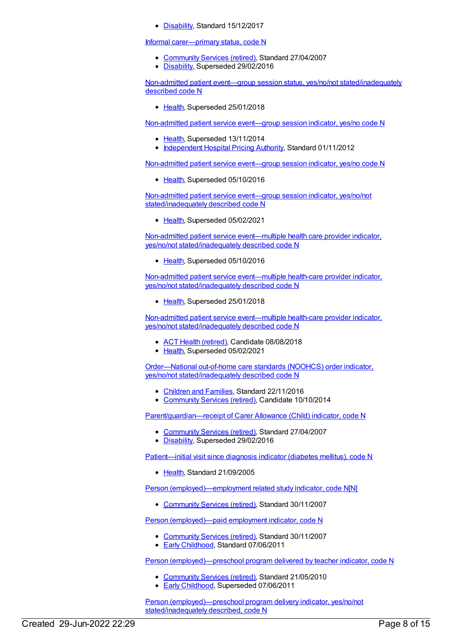• [Disability](https://meteor.aihw.gov.au/RegistrationAuthority/16), Standard 15/12/2017

#### Informal [carer—primary](https://meteor.aihw.gov.au/content/323760) status, code N

- [Community](https://meteor.aihw.gov.au/RegistrationAuthority/1) Services (retired), Standard 27/04/2007
- [Disability](https://meteor.aihw.gov.au/RegistrationAuthority/16), Superseded 29/02/2016

Non-admitted patient event—group session status, yes/no/not [stated/inadequately](https://meteor.aihw.gov.au/content/650414) described code N

[Health](https://meteor.aihw.gov.au/RegistrationAuthority/12), Superseded 25/01/2018

[Non-admitted](https://meteor.aihw.gov.au/content/400662) patient service event—group session indicator, yes/no code N

- [Health](https://meteor.aihw.gov.au/RegistrationAuthority/12), Superseded 13/11/2014
- [Independent](https://meteor.aihw.gov.au/RegistrationAuthority/3) Hospital Pricing Authority, Standard 01/11/2012

[Non-admitted](https://meteor.aihw.gov.au/content/584085) patient service event—group session indicator, yes/no code N

• [Health](https://meteor.aihw.gov.au/RegistrationAuthority/12), Superseded 05/10/2016

Non-admitted patient service event—group session indicator, yes/no/not [stated/inadequately](https://meteor.aihw.gov.au/content/679499) described code N

• [Health](https://meteor.aihw.gov.au/RegistrationAuthority/12), Superseded 05/02/2021

Non-admitted patient service event—multiple health care provider indicator, yes/no/not [stated/inadequately](https://meteor.aihw.gov.au/content/584616) described code N

[Health](https://meteor.aihw.gov.au/RegistrationAuthority/12), Superseded 05/10/2016

Non-admitted patient service event—multiple health-care provider indicator, yes/no/not [stated/inadequately](https://meteor.aihw.gov.au/content/652542) described code N

• [Health](https://meteor.aihw.gov.au/RegistrationAuthority/12), Superseded 25/01/2018

Non-admitted patient service event—multiple health-care provider indicator, yes/no/not [stated/inadequately](https://meteor.aihw.gov.au/content/679876) described code N

- ACT Health [\(retired\)](https://meteor.aihw.gov.au/RegistrationAuthority/9), Candidate 08/08/2018
- [Health](https://meteor.aihw.gov.au/RegistrationAuthority/12), Superseded 05/02/2021

Order—National out-of-home care standards (NOOHCS) order indicator, yes/no/not [stated/inadequately](https://meteor.aihw.gov.au/content/527865) described code N

- [Children](https://meteor.aihw.gov.au/RegistrationAuthority/17) and Families, Standard 22/11/2016
- [Community](https://meteor.aihw.gov.au/RegistrationAuthority/1) Services (retired), Candidate 10/10/2014

[Parent/guardian—receipt](https://meteor.aihw.gov.au/content/323286) of Carer Allowance (Child) indicator, code N

- [Community](https://meteor.aihw.gov.au/RegistrationAuthority/1) Services (retired), Standard 27/04/2007
- [Disability](https://meteor.aihw.gov.au/RegistrationAuthority/16), Superseded 29/02/2016

[Patient—initial](https://meteor.aihw.gov.au/content/302470) visit since diagnosis indicator (diabetes mellitus), code N

• [Health](https://meteor.aihw.gov.au/RegistrationAuthority/12), Standard 21/09/2005

Person [\(employed\)—employment](https://meteor.aihw.gov.au/content/355555) related study indicator, code N[N]

[Community](https://meteor.aihw.gov.au/RegistrationAuthority/1) Services (retired), Standard 30/11/2007

Person [\(employed\)—paid](https://meteor.aihw.gov.au/content/314813) employment indicator, code N

- [Community](https://meteor.aihw.gov.au/RegistrationAuthority/1) Services (retired), Standard 30/11/2007
- **Early [Childhood](https://meteor.aihw.gov.au/RegistrationAuthority/13), Standard 07/06/2011**

Person [\(employed\)—preschool](https://meteor.aihw.gov.au/content/401322) program delivered by teacher indicator, code N

- [Community](https://meteor.aihw.gov.au/RegistrationAuthority/1) Services (retired), Standard 21/05/2010
- Early [Childhood](https://meteor.aihw.gov.au/RegistrationAuthority/13), Superseded 07/06/2011

Person [\(employed\)—preschool](https://meteor.aihw.gov.au/content/441674) program delivery indicator, yes/no/not stated/inadequately described, code N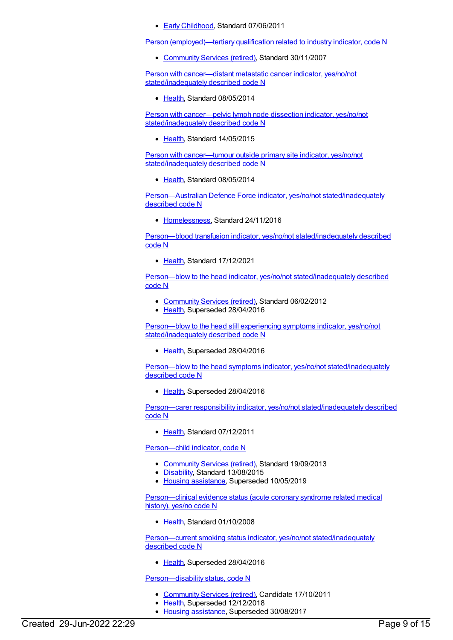● Early [Childhood](https://meteor.aihw.gov.au/RegistrationAuthority/13), Standard 07/06/2011

Person [\(employed\)—tertiary](https://meteor.aihw.gov.au/content/314893) qualification related to industry indicator, code N

[Community](https://meteor.aihw.gov.au/RegistrationAuthority/1) Services (retired), Standard 30/11/2007

Person with cancer—distant metastatic cancer indicator, yes/no/not [stated/inadequately](https://meteor.aihw.gov.au/content/545189) described code N

• [Health](https://meteor.aihw.gov.au/RegistrationAuthority/12), Standard 08/05/2014

Person with cancer—pelvic lymph node dissection indicator, yes/no/not [stated/inadequately](https://meteor.aihw.gov.au/content/587599) described code N

• [Health](https://meteor.aihw.gov.au/RegistrationAuthority/12), Standard 14/05/2015

Person with cancer—tumour outside primary site indicator, yes/no/not [stated/inadequately](https://meteor.aihw.gov.au/content/545382) described code N

• [Health](https://meteor.aihw.gov.au/RegistrationAuthority/12), Standard 08/05/2014

[Person—Australian](https://meteor.aihw.gov.au/content/649528) Defence Force indicator, yes/no/not stated/inadequately described code N

• [Homelessness](https://meteor.aihw.gov.au/RegistrationAuthority/14), Standard 24/11/2016

Person—blood transfusion indicator, yes/no/not [stated/inadequately](https://meteor.aihw.gov.au/content/749949) described code N

[Health](https://meteor.aihw.gov.au/RegistrationAuthority/12), Standard 17/12/2021

Person—blow to the head indicator, yes/no/not [stated/inadequately](https://meteor.aihw.gov.au/content/358833) described code N

- [Community](https://meteor.aihw.gov.au/RegistrationAuthority/1) Services (retired), Standard 06/02/2012
- [Health](https://meteor.aihw.gov.au/RegistrationAuthority/12), Superseded 28/04/2016

Person—blow to the head still experiencing symptoms indicator, yes/no/not [stated/inadequately](https://meteor.aihw.gov.au/content/605668) described code N

• [Health](https://meteor.aihw.gov.au/RegistrationAuthority/12), Superseded 28/04/2016

Person—blow to the head symptoms indicator, yes/no/not [stated/inadequately](https://meteor.aihw.gov.au/content/605661) described code N

• [Health](https://meteor.aihw.gov.au/RegistrationAuthority/12), Superseded 28/04/2016

Person—carer responsibility indicator, yes/no/not [stated/inadequately](https://meteor.aihw.gov.au/content/378324) described code N

[Health](https://meteor.aihw.gov.au/RegistrationAuthority/12), Standard 07/12/2011

[Person—child](https://meteor.aihw.gov.au/content/491672) indicator, code N

- [Community](https://meteor.aihw.gov.au/RegistrationAuthority/1) Services (retired), Standard 19/09/2013
- [Disability](https://meteor.aihw.gov.au/RegistrationAuthority/16), Standard 13/08/2015
- Housing [assistance](https://meteor.aihw.gov.au/RegistrationAuthority/11), Superseded 10/05/2019

[Person—clinical](https://meteor.aihw.gov.au/content/356777) evidence status (acute coronary syndrome related medical history), yes/no code N

• [Health](https://meteor.aihw.gov.au/RegistrationAuthority/12), Standard 01/10/2008

Person—current smoking status indicator, yes/no/not [stated/inadequately](https://meteor.aihw.gov.au/content/399538) described code N

• [Health](https://meteor.aihw.gov.au/RegistrationAuthority/12), Superseded 28/04/2016

[Person—disability](https://meteor.aihw.gov.au/content/312934) status, code N

- [Community](https://meteor.aihw.gov.au/RegistrationAuthority/1) Services (retired), Candidate 17/10/2011
- [Health](https://meteor.aihw.gov.au/RegistrationAuthority/12), Superseded 12/12/2018
- Housing [assistance](https://meteor.aihw.gov.au/RegistrationAuthority/11), Superseded 30/08/2017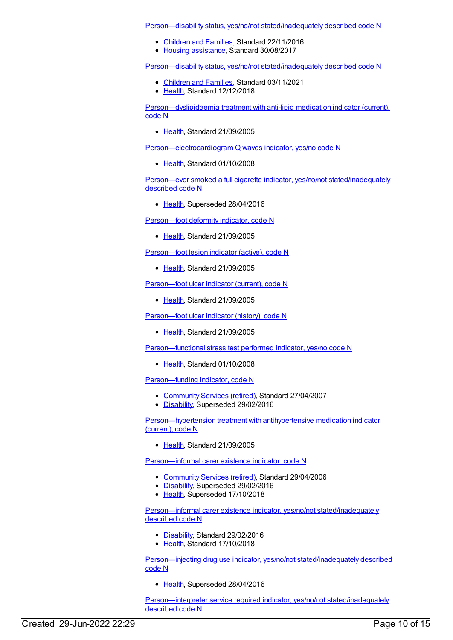Person—disability status, yes/no/not [stated/inadequately](https://meteor.aihw.gov.au/content/608048) described code N

- [Children](https://meteor.aihw.gov.au/RegistrationAuthority/17) and Families, Standard 22/11/2016
- Housing [assistance](https://meteor.aihw.gov.au/RegistrationAuthority/11), Standard 30/08/2017

Person—disability status, yes/no/not [stated/inadequately](https://meteor.aihw.gov.au/content/695179) described code N

- [Children](https://meteor.aihw.gov.au/RegistrationAuthority/17) and Families, Standard 03/11/2021
- [Health](https://meteor.aihw.gov.au/RegistrationAuthority/12), Standard 12/12/2018

[Person—dyslipidaemia](https://meteor.aihw.gov.au/content/302440) treatment with anti-lipid medication indicator (current), code N

• [Health](https://meteor.aihw.gov.au/RegistrationAuthority/12), Standard 21/09/2005

[Person—electrocardiogram](https://meteor.aihw.gov.au/content/347711) Q waves indicator, yes/no code N

• [Health](https://meteor.aihw.gov.au/RegistrationAuthority/12), Standard 01/10/2008

Person—ever smoked a full cigarette indicator, yes/no/not [stated/inadequately](https://meteor.aihw.gov.au/content/399275) described code N

• [Health](https://meteor.aihw.gov.au/RegistrationAuthority/12), Superseded 28/04/2016

Person-foot deformity indicator, code N

[Health](https://meteor.aihw.gov.au/RegistrationAuthority/12), Standard 21/09/2005

[Person—foot](https://meteor.aihw.gov.au/content/302437) lesion indicator (active), code N

• [Health](https://meteor.aihw.gov.au/RegistrationAuthority/12), Standard 21/09/2005

Person-foot ulcer indicator (current), code N

• [Health](https://meteor.aihw.gov.au/RegistrationAuthority/12), Standard 21/09/2005

[Person—foot](https://meteor.aihw.gov.au/content/302819) ulcer indicator (history), code N

[Health](https://meteor.aihw.gov.au/RegistrationAuthority/12), Standard 21/09/2005

[Person—functional](https://meteor.aihw.gov.au/content/347697) stress test performed indicator, yes/no code N

[Health](https://meteor.aihw.gov.au/RegistrationAuthority/12), Standard 01/10/2008

[Person—funding](https://meteor.aihw.gov.au/content/323170) indicator, code N

- [Community](https://meteor.aihw.gov.au/RegistrationAuthority/1) Services (retired), Standard 27/04/2007
- [Disability](https://meteor.aihw.gov.au/RegistrationAuthority/16), Superseded 29/02/2016

[Person—hypertension](https://meteor.aihw.gov.au/content/302442) treatment with antihypertensive medication indicator (current), code N

• [Health](https://meteor.aihw.gov.au/RegistrationAuthority/12), Standard 21/09/2005

[Person—informal](https://meteor.aihw.gov.au/content/320939) carer existence indicator, code N

- [Community](https://meteor.aihw.gov.au/RegistrationAuthority/1) Services (retired), Standard 29/04/2006
- [Disability](https://meteor.aihw.gov.au/RegistrationAuthority/16), Superseded 29/02/2016
- [Health](https://meteor.aihw.gov.au/RegistrationAuthority/12), Superseded 17/10/2018

Person—informal carer existence indicator, yes/no/not [stated/inadequately](https://meteor.aihw.gov.au/content/621393) described code N

- [Disability](https://meteor.aihw.gov.au/RegistrationAuthority/16), Standard 29/02/2016
- [Health](https://meteor.aihw.gov.au/RegistrationAuthority/12), Standard 17/10/2018

Person—injecting drug use indicator, yes/no/not [stated/inadequately](https://meteor.aihw.gov.au/content/482986) described code N

• [Health](https://meteor.aihw.gov.au/RegistrationAuthority/12), Superseded 28/04/2016

[Person—interpreter](https://meteor.aihw.gov.au/content/639616) service required indicator, yes/no/not stated/inadequately described code N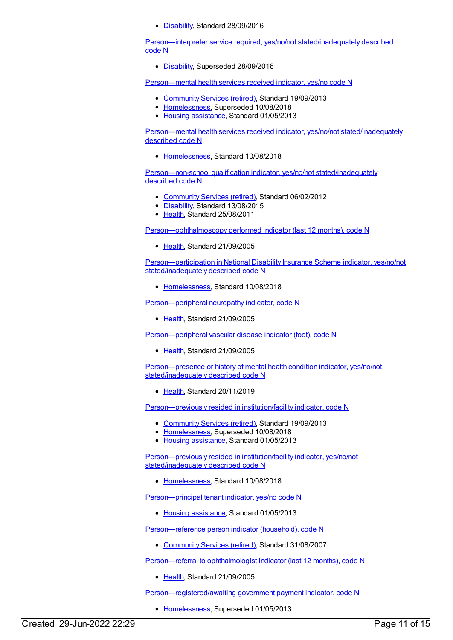• [Disability](https://meteor.aihw.gov.au/RegistrationAuthority/16), Standard 28/09/2016

[Person—interpreter](https://meteor.aihw.gov.au/content/623421) service required, yes/no/not stated/inadequately described code N

[Disability](https://meteor.aihw.gov.au/RegistrationAuthority/16), Superseded 28/09/2016

[Person—mental](https://meteor.aihw.gov.au/content/508406) health services received indicator, yes/no code N

- [Community](https://meteor.aihw.gov.au/RegistrationAuthority/1) Services (retired), Standard 19/09/2013
- [Homelessness](https://meteor.aihw.gov.au/RegistrationAuthority/14), Superseded 10/08/2018
- Housing [assistance](https://meteor.aihw.gov.au/RegistrationAuthority/11), Standard 01/05/2013

Person—mental health services received indicator, yes/no/not [stated/inadequately](https://meteor.aihw.gov.au/content/691978) described code N

[Homelessness](https://meteor.aihw.gov.au/RegistrationAuthority/14), Standard 10/08/2018

[Person—non-school](https://meteor.aihw.gov.au/content/376009) qualification indicator, yes/no/not stated/inadequately described code N

- [Community](https://meteor.aihw.gov.au/RegistrationAuthority/1) Services (retired), Standard 06/02/2012
- [Disability](https://meteor.aihw.gov.au/RegistrationAuthority/16), Standard 13/08/2015
- [Health](https://meteor.aihw.gov.au/RegistrationAuthority/12), Standard 25/08/2011

[Person—ophthalmoscopy](https://meteor.aihw.gov.au/content/302821) performed indicator (last 12 months), code N

• [Health](https://meteor.aihw.gov.au/RegistrationAuthority/12), Standard 21/09/2005

[Person—participation](https://meteor.aihw.gov.au/content/695977) in National Disability Insurance Scheme indicator, yes/no/not stated/inadequately described code N

• [Homelessness](https://meteor.aihw.gov.au/RegistrationAuthority/14), Standard 10/08/2018

[Person—peripheral](https://meteor.aihw.gov.au/content/302457) neuropathy indicator, code N

• [Health](https://meteor.aihw.gov.au/RegistrationAuthority/12), Standard 21/09/2005

[Person—peripheral](https://meteor.aihw.gov.au/content/302459) vascular disease indicator (foot), code N

• [Health](https://meteor.aihw.gov.au/RegistrationAuthority/12), Standard 21/09/2005

[Person—presence](https://meteor.aihw.gov.au/content/622450) or history of mental health condition indicator, yes/no/not stated/inadequately described code N

• [Health](https://meteor.aihw.gov.au/RegistrationAuthority/12), Standard 20/11/2019

[Person—previously](https://meteor.aihw.gov.au/content/508417) resided in institution/facility indicator, code N

- [Community](https://meteor.aihw.gov.au/RegistrationAuthority/1) Services (retired), Standard 19/09/2013
- [Homelessness](https://meteor.aihw.gov.au/RegistrationAuthority/14), Superseded 10/08/2018
- Housing [assistance](https://meteor.aihw.gov.au/RegistrationAuthority/11), Standard 01/05/2013

[Person—previously](https://meteor.aihw.gov.au/content/692146) resided in institution/facility indicator, yes/no/not stated/inadequately described code N

• [Homelessness](https://meteor.aihw.gov.au/RegistrationAuthority/14), Standard 10/08/2018

[Person—principal](https://meteor.aihw.gov.au/content/463018) tenant indicator, yes/no code N

• Housing [assistance](https://meteor.aihw.gov.au/RegistrationAuthority/11), Standard 01/05/2013

Person-reference person indicator (household), code N

[Community](https://meteor.aihw.gov.au/RegistrationAuthority/1) Services (retired), Standard 31/08/2007

[Person—referral](https://meteor.aihw.gov.au/content/302823) to ophthalmologist indicator (last 12 months), code N

• [Health](https://meteor.aihw.gov.au/RegistrationAuthority/12), Standard 21/09/2005

[Person—registered/awaiting](https://meteor.aihw.gov.au/content/399150) government payment indicator, code N

• [Homelessness](https://meteor.aihw.gov.au/RegistrationAuthority/14), Superseded 01/05/2013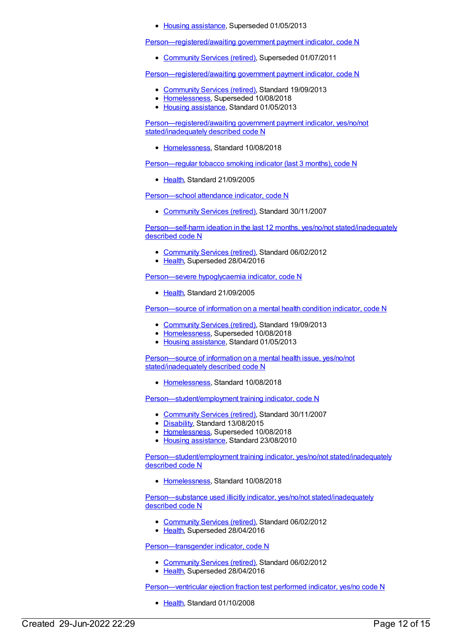• Housing [assistance](https://meteor.aihw.gov.au/RegistrationAuthority/11), Superseded 01/05/2013

[Person—registered/awaiting](https://meteor.aihw.gov.au/content/350279) government payment indicator, code N

[Community](https://meteor.aihw.gov.au/RegistrationAuthority/1) Services (retired), Superseded 01/07/2011

[Person—registered/awaiting](https://meteor.aihw.gov.au/content/506085) government payment indicator, code N

- [Community](https://meteor.aihw.gov.au/RegistrationAuthority/1) Services (retired), Standard 19/09/2013
- [Homelessness](https://meteor.aihw.gov.au/RegistrationAuthority/14), Superseded 10/08/2018
- Housing [assistance](https://meteor.aihw.gov.au/RegistrationAuthority/11), Standard 01/05/2013

[Person—registered/awaiting](https://meteor.aihw.gov.au/content/690709) government payment indicator, yes/no/not stated/inadequately described code N

• [Homelessness](https://meteor.aihw.gov.au/RegistrationAuthority/14), Standard 10/08/2018

[Person—regular](https://meteor.aihw.gov.au/content/302467) tobacco smoking indicator (last 3 months), code N

• [Health](https://meteor.aihw.gov.au/RegistrationAuthority/12), Standard 21/09/2005

[Person—school](https://meteor.aihw.gov.au/content/314952) attendance indicator, code N

[Community](https://meteor.aihw.gov.au/RegistrationAuthority/1) Services (retired), Standard 30/11/2007

Person—self-harm ideation in the last 12 months, yes/no/not [stated/inadequately](https://meteor.aihw.gov.au/content/358880) described code N

- [Community](https://meteor.aihw.gov.au/RegistrationAuthority/1) Services (retired), Standard 06/02/2012
- [Health](https://meteor.aihw.gov.au/RegistrationAuthority/12), Superseded 28/04/2016

[Person—severe](https://meteor.aihw.gov.au/content/302825) hypoglycaemia indicator, code N

• [Health](https://meteor.aihw.gov.au/RegistrationAuthority/12), Standard 21/09/2005

[Person—source](https://meteor.aihw.gov.au/content/508415) of information on a mental health condition indicator, code N

- [Community](https://meteor.aihw.gov.au/RegistrationAuthority/1) Services (retired), Standard 19/09/2013
- [Homelessness](https://meteor.aihw.gov.au/RegistrationAuthority/14), Superseded 10/08/2018
- Housing [assistance](https://meteor.aihw.gov.au/RegistrationAuthority/11), Standard 01/05/2013

Person-source of information on a mental health issue, yes/no/not [stated/inadequately](https://meteor.aihw.gov.au/content/691990) described code N

• [Homelessness](https://meteor.aihw.gov.au/RegistrationAuthority/14), Standard 10/08/2018

[Person—student/employment](https://meteor.aihw.gov.au/content/349588) training indicator, code N

- [Community](https://meteor.aihw.gov.au/RegistrationAuthority/1) Services (retired), Standard 30/11/2007
- [Disability](https://meteor.aihw.gov.au/RegistrationAuthority/16), Standard 13/08/2015
- [Homelessness](https://meteor.aihw.gov.au/RegistrationAuthority/14), Superseded 10/08/2018
- Housing [assistance](https://meteor.aihw.gov.au/RegistrationAuthority/11), Standard 23/08/2010

[Person—student/employment](https://meteor.aihw.gov.au/content/691041) training indicator, yes/no/not stated/inadequately described code N

• [Homelessness](https://meteor.aihw.gov.au/RegistrationAuthority/14), Standard 10/08/2018

[Person—substance](https://meteor.aihw.gov.au/content/365254) used illicitly indicator, yes/no/not stated/inadequately described code N

- [Community](https://meteor.aihw.gov.au/RegistrationAuthority/1) Services (retired), Standard 06/02/2012
- [Health](https://meteor.aihw.gov.au/RegistrationAuthority/12), Superseded 28/04/2016

[Person—transgender](https://meteor.aihw.gov.au/content/375985) indicator, code N

- [Community](https://meteor.aihw.gov.au/RegistrationAuthority/1) Services (retired), Standard 06/02/2012
- [Health](https://meteor.aihw.gov.au/RegistrationAuthority/12), Superseded 28/04/2016

[Person—ventricular](https://meteor.aihw.gov.au/content/347672) ejection fraction test performed indicator, yes/no code N

• [Health](https://meteor.aihw.gov.au/RegistrationAuthority/12), Standard 01/10/2008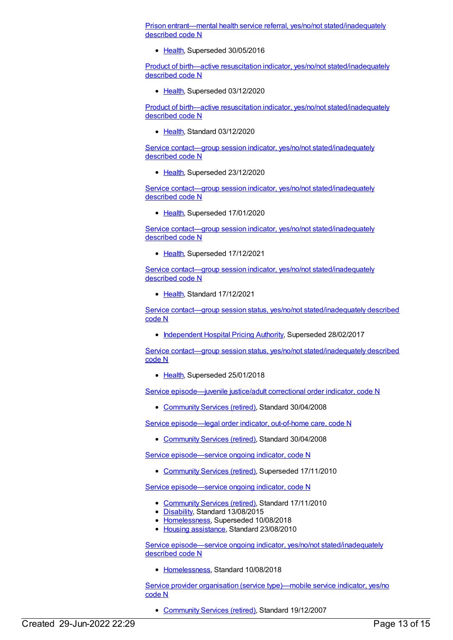Prison entrant—mental health service referral, yes/no/not [stated/inadequately](https://meteor.aihw.gov.au/content/365460) described code N

• [Health](https://meteor.aihw.gov.au/RegistrationAuthority/12), Superseded 30/05/2016

Product of birth—active resuscitation indicator, yes/no/not [stated/inadequately](https://meteor.aihw.gov.au/content/695556) described code N

• [Health](https://meteor.aihw.gov.au/RegistrationAuthority/12), Superseded 03/12/2020

Product of birth—active resuscitation indicator, yes/no/not [stated/inadequately](https://meteor.aihw.gov.au/content/732880) described code N

• [Health](https://meteor.aihw.gov.au/RegistrationAuthority/12), Standard 03/12/2020

Service contact-group session indicator, yes/no/not [stated/inadequately](https://meteor.aihw.gov.au/content/721734) described code N

• [Health](https://meteor.aihw.gov.au/RegistrationAuthority/12), Superseded 23/12/2020

Service contact-group session indicator, yes/no/not [stated/inadequately](https://meteor.aihw.gov.au/content/676226) described code N

• [Health](https://meteor.aihw.gov.au/RegistrationAuthority/12), Superseded 17/01/2020

Service contact—group session indicator, yes/no/not [stated/inadequately](https://meteor.aihw.gov.au/content/730836) described code N

• [Health](https://meteor.aihw.gov.au/RegistrationAuthority/12), Superseded 17/12/2021

Service contact—group session indicator, yes/no/not [stated/inadequately](https://meteor.aihw.gov.au/content/744359) described code N

• [Health](https://meteor.aihw.gov.au/RegistrationAuthority/12), Standard 17/12/2021

Service contact—group session status, yes/no/not [stated/inadequately](https://meteor.aihw.gov.au/content/614203) described code N

• [Independent](https://meteor.aihw.gov.au/RegistrationAuthority/3) Hospital Pricing Authority, Superseded 28/02/2017

Service contact—group session status, yes/no/not [stated/inadequately](https://meteor.aihw.gov.au/content/654418) described code N

• [Health](https://meteor.aihw.gov.au/RegistrationAuthority/12), Superseded 25/01/2018

Service [episode—juvenile](https://meteor.aihw.gov.au/content/350163) justice/adult correctional order indicator, code N

[Community](https://meteor.aihw.gov.au/RegistrationAuthority/1) Services (retired), Standard 30/04/2008

Service [episode—legal](https://meteor.aihw.gov.au/content/316456) order indicator, out-of-home care, code N

[Community](https://meteor.aihw.gov.au/RegistrationAuthority/1) Services (retired), Standard 30/04/2008

Service [episode—service](https://meteor.aihw.gov.au/content/338787) ongoing indicator, code N

[Community](https://meteor.aihw.gov.au/RegistrationAuthority/1) Services (retired), Superseded 17/11/2010

Service [episode—service](https://meteor.aihw.gov.au/content/401349) ongoing indicator, code N

- [Community](https://meteor.aihw.gov.au/RegistrationAuthority/1) Services (retired), Standard 17/11/2010
- [Disability](https://meteor.aihw.gov.au/RegistrationAuthority/16), Standard 13/08/2015
- [Homelessness](https://meteor.aihw.gov.au/RegistrationAuthority/14), Superseded 10/08/2018
- Housing [assistance](https://meteor.aihw.gov.au/RegistrationAuthority/11), Standard 23/08/2010

Service episode—service ongoing indicator, yes/no/not [stated/inadequately](https://meteor.aihw.gov.au/content/692096) described code N

• [Homelessness](https://meteor.aihw.gov.au/RegistrationAuthority/14), Standard 10/08/2018

Service provider organisation (service [type\)—mobile](https://meteor.aihw.gov.au/content/315166) service indicator, yes/no code N

[Community](https://meteor.aihw.gov.au/RegistrationAuthority/1) Services (retired), Standard 19/12/2007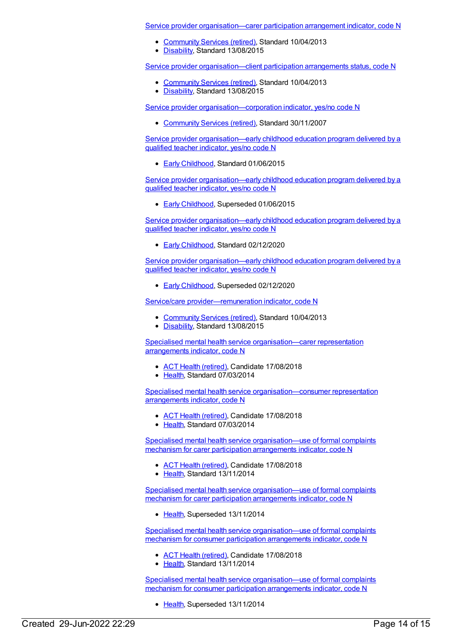Service provider [organisation—carer](https://meteor.aihw.gov.au/content/498456) participation arrangement indicator, code N

- [Community](https://meteor.aihw.gov.au/RegistrationAuthority/1) Services (retired), Standard 10/04/2013
- [Disability](https://meteor.aihw.gov.au/RegistrationAuthority/16), Standard 13/08/2015

Service provider [organisation—client](https://meteor.aihw.gov.au/content/498465) participation arrangements status, code N

- [Community](https://meteor.aihw.gov.au/RegistrationAuthority/1) Services (retired), Standard 10/04/2013
- [Disability](https://meteor.aihw.gov.au/RegistrationAuthority/16), Standard 13/08/2015

Service provider [organisation—corporation](https://meteor.aihw.gov.au/content/315191) indicator, yes/no code N

[Community](https://meteor.aihw.gov.au/RegistrationAuthority/1) Services (retired), Standard 30/11/2007

Service provider [organisation—early](https://meteor.aihw.gov.au/content/602338) childhood education program delivered by a qualified teacher indicator, yes/no code N

● Early [Childhood](https://meteor.aihw.gov.au/RegistrationAuthority/13), Standard 01/06/2015

Service provider [organisation—early](https://meteor.aihw.gov.au/content/563919) childhood education program delivered by a qualified teacher indicator, yes/no code N

**Early [Childhood](https://meteor.aihw.gov.au/RegistrationAuthority/13), Superseded 01/06/2015** 

Service provider [organisation—early](https://meteor.aihw.gov.au/content/731298) childhood education program delivered by a qualified teacher indicator, yes/no code N

Early [Childhood](https://meteor.aihw.gov.au/RegistrationAuthority/13), Standard 02/12/2020

Service provider [organisation—early](https://meteor.aihw.gov.au/content/731377) childhood education program delivered by a qualified teacher indicator, yes/no code N

**Early [Childhood](https://meteor.aihw.gov.au/RegistrationAuthority/13), Superseded 02/12/2020** 

Service/care [provider—remuneration](https://meteor.aihw.gov.au/content/500412) indicator, code N

- [Community](https://meteor.aihw.gov.au/RegistrationAuthority/1) Services (retired), Standard 10/04/2013
- [Disability](https://meteor.aihw.gov.au/RegistrationAuthority/16), Standard 13/08/2015

Specialised mental health service [organisation—carer](https://meteor.aihw.gov.au/content/529383) representation arrangements indicator, code N

- ACT Health [\(retired\)](https://meteor.aihw.gov.au/RegistrationAuthority/9), Candidate 17/08/2018
- [Health](https://meteor.aihw.gov.au/RegistrationAuthority/12), Standard 07/03/2014

Specialised mental health service [organisation—consumer](https://meteor.aihw.gov.au/content/529103) representation arrangements indicator, code N

- ACT Health [\(retired\)](https://meteor.aihw.gov.au/RegistrationAuthority/9), Candidate 17/08/2018
- [Health](https://meteor.aihw.gov.au/RegistrationAuthority/12), Standard 07/03/2014

Specialised mental health service [organisation—use](https://meteor.aihw.gov.au/content/564666) of formal complaints mechanism for carer participation arrangements indicator, code N

- ACT Health [\(retired\)](https://meteor.aihw.gov.au/RegistrationAuthority/9), Candidate 17/08/2018
- [Health](https://meteor.aihw.gov.au/RegistrationAuthority/12), Standard 13/11/2014

Specialised mental health service [organisation—use](https://meteor.aihw.gov.au/content/529233) of formal complaints mechanism for carer participation arrangements indicator, code N

• [Health](https://meteor.aihw.gov.au/RegistrationAuthority/12), Superseded 13/11/2014

Specialised mental health service [organisation—use](https://meteor.aihw.gov.au/content/564674) of formal complaints mechanism for consumer participation arrangements indicator, code N

- ACT Health [\(retired\)](https://meteor.aihw.gov.au/RegistrationAuthority/9), Candidate 17/08/2018
- [Health](https://meteor.aihw.gov.au/RegistrationAuthority/12), Standard 13/11/2014

Specialised mental health service [organisation—use](https://meteor.aihw.gov.au/content/529180) of formal complaints mechanism for consumer participation arrangements indicator, code N

• [Health](https://meteor.aihw.gov.au/RegistrationAuthority/12), Superseded 13/11/2014